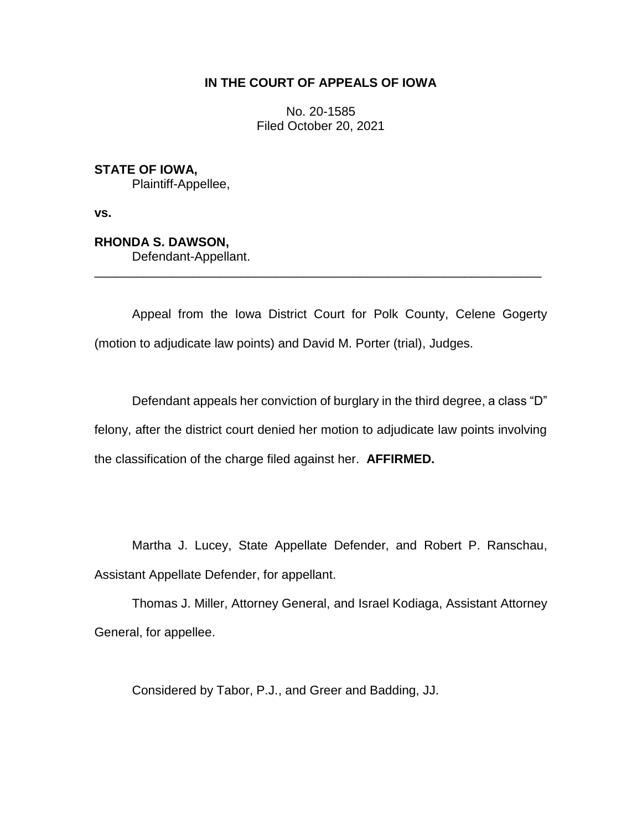## **IN THE COURT OF APPEALS OF IOWA**

No. 20-1585 Filed October 20, 2021

**STATE OF IOWA,** Plaintiff-Appellee,

**vs.**

**RHONDA S. DAWSON,**

Defendant-Appellant.

Appeal from the Iowa District Court for Polk County, Celene Gogerty (motion to adjudicate law points) and David M. Porter (trial), Judges.

\_\_\_\_\_\_\_\_\_\_\_\_\_\_\_\_\_\_\_\_\_\_\_\_\_\_\_\_\_\_\_\_\_\_\_\_\_\_\_\_\_\_\_\_\_\_\_\_\_\_\_\_\_\_\_\_\_\_\_\_\_\_\_\_

Defendant appeals her conviction of burglary in the third degree, a class "D" felony, after the district court denied her motion to adjudicate law points involving the classification of the charge filed against her. **AFFIRMED.**

Martha J. Lucey, State Appellate Defender, and Robert P. Ranschau, Assistant Appellate Defender, for appellant.

Thomas J. Miller, Attorney General, and Israel Kodiaga, Assistant Attorney General, for appellee.

Considered by Tabor, P.J., and Greer and Badding, JJ.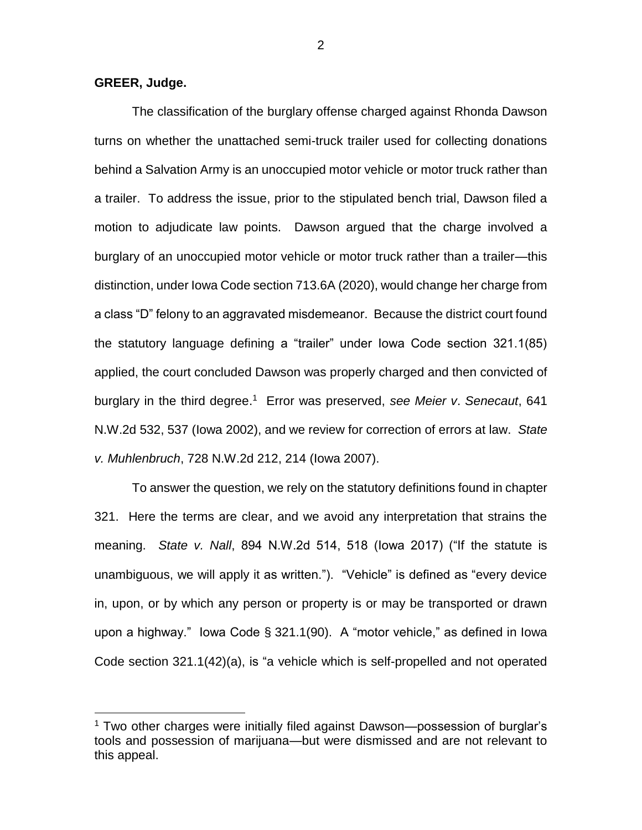## **GREER, Judge.**

 $\overline{a}$ 

The classification of the burglary offense charged against Rhonda Dawson turns on whether the unattached semi-truck trailer used for collecting donations behind a Salvation Army is an unoccupied motor vehicle or motor truck rather than a trailer. To address the issue, prior to the stipulated bench trial, Dawson filed a motion to adjudicate law points. Dawson argued that the charge involved a burglary of an unoccupied motor vehicle or motor truck rather than a trailer—this distinction, under Iowa Code section 713.6A (2020), would change her charge from a class "D" felony to an aggravated misdemeanor. Because the district court found the statutory language defining a "trailer" under Iowa Code section 321.1(85) applied, the court concluded Dawson was properly charged and then convicted of burglary in the third degree. 1 Error was preserved, *see Meier v*. *Senecaut*, 641 N.W.2d 532, 537 (Iowa 2002), and we review for correction of errors at law. *State v. Muhlenbruch*, 728 N.W.2d 212, 214 (Iowa 2007).

To answer the question, we rely on the statutory definitions found in chapter 321. Here the terms are clear, and we avoid any interpretation that strains the meaning. *State v. Nall*, 894 N.W.2d 514, 518 (Iowa 2017) ("If the statute is unambiguous, we will apply it as written."). "Vehicle" is defined as "every device in, upon, or by which any person or property is or may be transported or drawn upon a highway." Iowa Code § 321.1(90). A "motor vehicle," as defined in Iowa Code section 321.1(42)(a), is "a vehicle which is self-propelled and not operated

<sup>&</sup>lt;sup>1</sup> Two other charges were initially filed against Dawson—possession of burglar's tools and possession of marijuana—but were dismissed and are not relevant to this appeal.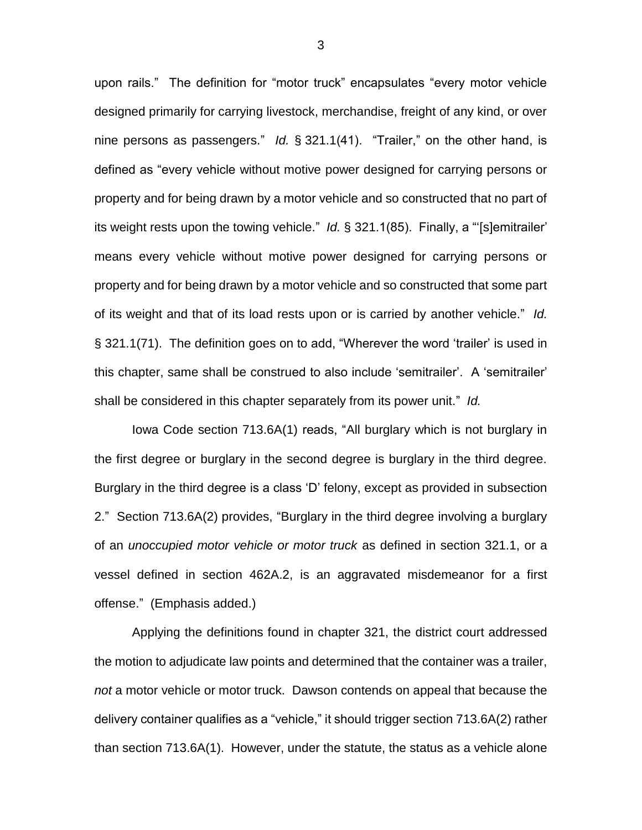upon rails." The definition for "motor truck" encapsulates "every motor vehicle designed primarily for carrying livestock, merchandise, freight of any kind, or over nine persons as passengers." *Id.* § 321.1(41). "Trailer," on the other hand, is defined as "every vehicle without motive power designed for carrying persons or property and for being drawn by a motor vehicle and so constructed that no part of its weight rests upon the towing vehicle." *Id.* § 321.1(85). Finally, a "'[s]emitrailer' means every vehicle without motive power designed for carrying persons or property and for being drawn by a motor vehicle and so constructed that some part of its weight and that of its load rests upon or is carried by another vehicle." *Id.*  § 321.1(71). The definition goes on to add, "Wherever the word 'trailer' is used in this chapter, same shall be construed to also include 'semitrailer'. A 'semitrailer' shall be considered in this chapter separately from its power unit." *Id.*

Iowa Code section 713.6A(1) reads, "All burglary which is not burglary in the first degree or burglary in the second degree is burglary in the third degree. Burglary in the third degree is a class 'D' felony, except as provided in subsection 2." Section 713.6A(2) provides, "Burglary in the third degree involving a burglary of an *unoccupied motor vehicle or motor truck* as defined in section 321.1, or a vessel defined in section 462A.2, is an aggravated misdemeanor for a first offense." (Emphasis added.)

Applying the definitions found in chapter 321, the district court addressed the motion to adjudicate law points and determined that the container was a trailer, *not* a motor vehicle or motor truck. Dawson contends on appeal that because the delivery container qualifies as a "vehicle," it should trigger section 713.6A(2) rather than section 713.6A(1). However, under the statute, the status as a vehicle alone

3